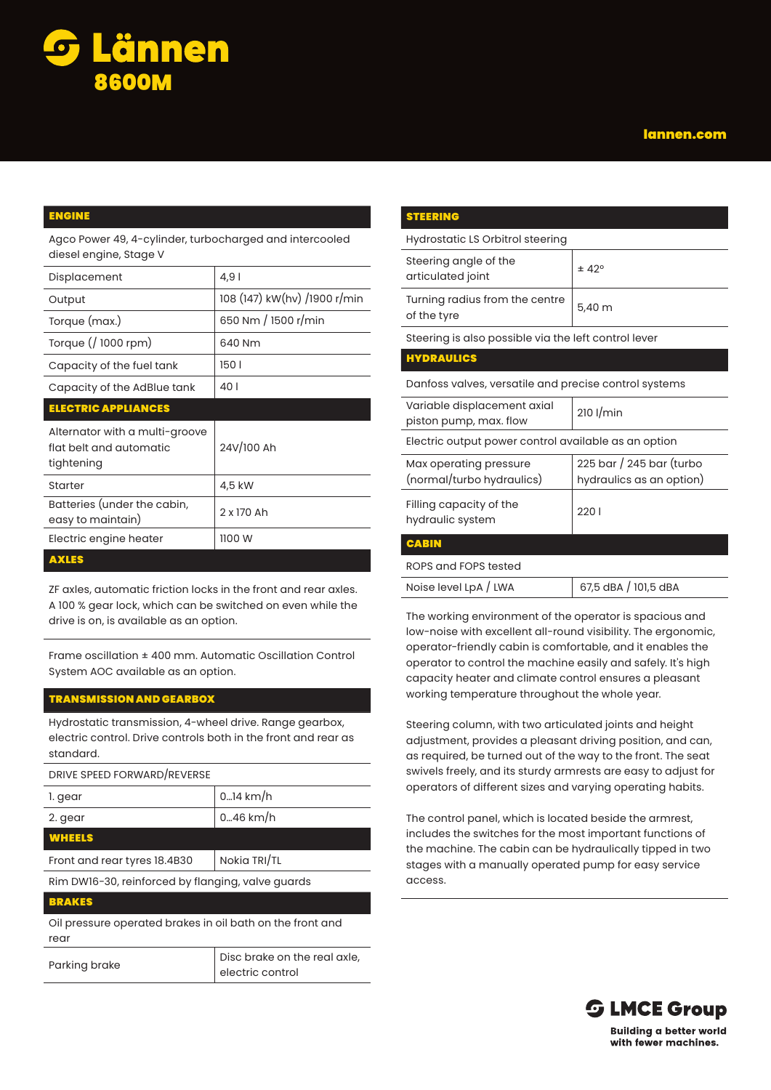

## lannen.com

## ENGINE

Agco Power 49, 4-cylinder, turbocharged and intercooled diesel engine, Stage V

| Displacement                                                            | 4,91                         |
|-------------------------------------------------------------------------|------------------------------|
| Output                                                                  | 108 (147) kW(hv) /1900 r/min |
| Torque (max.)                                                           | 650 Nm / 1500 r/min          |
| Torque (/ 1000 rpm)                                                     | 640 Nm                       |
| Capacity of the fuel tank                                               | 1501                         |
| Capacity of the AdBlue tank                                             | 40 I                         |
| <b>ELECTRIC APPLIANCES</b>                                              |                              |
|                                                                         |                              |
| Alternator with a multi-groove<br>flat belt and automatic<br>tightening | 24V/100 Ah                   |
| Starter                                                                 | 4,5 kW                       |
| Batteries (under the cabin,<br>easy to maintain)                        | 2 x 170 Ah                   |
| Electric engine heater                                                  | 1100 W                       |

ZF axles, automatic friction locks in the front and rear axles. A 100 % gear lock, which can be switched on even while the drive is on, is available as an option.

Frame oscillation ± 400 mm. Automatic Oscillation Control System AOC available as an option.

## TRANSMISSION AND GEARBOX

Hydrostatic transmission, 4-wheel drive. Range gearbox, electric control. Drive controls both in the front and rear as standard.

| DRIVE SPEED FORWARD/REVERSE  |                     |
|------------------------------|---------------------|
| 1. gear                      | $0.14 \text{ km/h}$ |
| 2. gear                      | $0.46$ km/h         |
| <b>WHEELS</b>                |                     |
| Front and rear tyres 18.4B30 | Nokia TRI/TL        |

Rim DW16-30, reinforced by flanging, valve guards

#### BRAKES

Oil pressure operated brakes in oil bath on the front and rear

| Parking brake | Disc brake on the real axle, |
|---------------|------------------------------|
|               | electric control             |

| <b>STEERING</b>                                       |                                                      |  |
|-------------------------------------------------------|------------------------------------------------------|--|
| Hydrostatic LS Orbitrol steering                      |                                                      |  |
| Steering angle of the<br>articulated joint            | ± 42°                                                |  |
| Turning radius from the centre<br>of the tyre         | 5,40 m                                               |  |
| Steering is also possible via the left control lever  |                                                      |  |
| <b>HYDRAULICS</b>                                     |                                                      |  |
| Danfoss valves, versatile and precise control systems |                                                      |  |
| Variable displacement axial<br>piston pump, max. flow | $210$ I/min                                          |  |
| Electric output power control available as an option  |                                                      |  |
| Max operating pressure<br>(normal/turbo hydraulics)   | 225 bar / 245 bar (turbo<br>hydraulics as an option) |  |
| Filling capacity of the<br>hydraulic system           | 2201                                                 |  |
| <b>CABIN</b>                                          |                                                      |  |
| ROPS and FOPS tested                                  |                                                      |  |
| Noise level LpA / LWA                                 | 67,5 dBA / 101,5 dBA                                 |  |

The working environment of the operator is spacious and low-noise with excellent all-round visibility. The ergonomic, operator-friendly cabin is comfortable, and it enables the operator to control the machine easily and safely. It's high capacity heater and climate control ensures a pleasant working temperature throughout the whole year.

Steering column, with two articulated joints and height adjustment, provides a pleasant driving position, and can, as required, be turned out of the way to the front. The seat swivels freely, and its sturdy armrests are easy to adjust for operators of different sizes and varying operating habits.

The control panel, which is located beside the armrest, includes the switches for the most important functions of the machine. The cabin can be hydraulically tipped in two stages with a manually operated pump for easy service access.